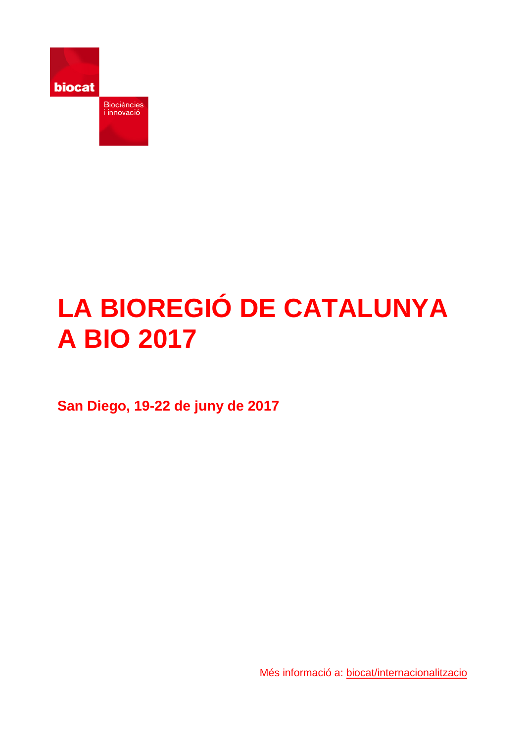

# **LA BIOREGIÓ DE CATALUNYA A BIO 2017**

**San Diego, 19-22 de juny de 2017**

Més informació a: [biocat/internacionalitzacio](http://www.biocat.cat/ca/que-fem/internacionalitzacio/fires/bio-international-convention/bio-san-diego-2017)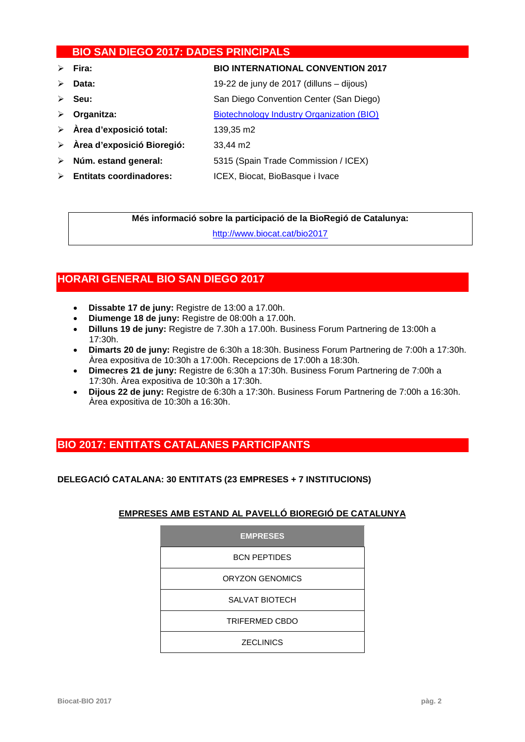# **BIO SAN DIEGO 2017: DADES PRINCIPALS**

- **Fira: BIO INTERNATIONAL CONVENTION 2017**
- **Data:** 19-22 de juny de 2017 (dilluns dijous)
- **Seu:** San Diego Convention Center (San Diego)
- **Organitza:** [Biotechnology Industry Organization \(BIO\)](http://www.bio.org/)
- **Àrea d'exposició total:** 139,35 m2
- **Àrea d'exposició Bioregió:** 33,44 m2
- **Núm. estand general:** 5315 (Spain Trade Commission / ICEX)
- **Entitats coordinadores:** ICEX, Biocat, BioBasque i Ivace

**Més informació sobre la participació de la BioRegió de Catalunya:**

<http://www.biocat.cat/bio2017>

# **HORARI GENERAL BIO SAN DIEGO 2017**

- **Dissabte 17 de juny:** Registre de 13:00 a 17.00h.
- **Diumenge 18 de juny:** Registre de 08:00h a 17.00h.
- **Dilluns 19 de juny:** Registre de 7.30h a 17.00h. Business Forum Partnering de 13:00h a 17:30h.
- **Dimarts 20 de juny:** Registre de 6:30h a 18:30h. Business Forum Partnering de 7:00h a 17:30h. Àrea expositiva de 10:30h a 17:00h. Recepcions de 17:00h a 18:30h.
- **Dimecres 21 de juny:** Registre de 6:30h a 17:30h. Business Forum Partnering de 7:00h a 17:30h. Àrea expositiva de 10:30h a 17:30h.
- **Dijous 22 de juny:** Registre de 6:30h a 17:30h. Business Forum Partnering de 7:00h a 16:30h. Àrea expositiva de 10:30h a 16:30h.

# **BIO 2017: ENTITATS CATALANES PARTICIPANTS**

# **DELEGACIÓ CATALANA: 30 ENTITATS (23 EMPRESES + 7 INSTITUCIONS)**

# **EMPRESES AMB ESTAND AL PAVELLÓ BIOREGIÓ DE CATALUNYA**

| <b>EMPRESES</b>        |
|------------------------|
| <b>BCN PEPTIDES</b>    |
| <b>ORYZON GENOMICS</b> |
| <b>SALVAT BIOTECH</b>  |
| <b>TRIFERMED CBDO</b>  |
| <b>ZECLINICS</b>       |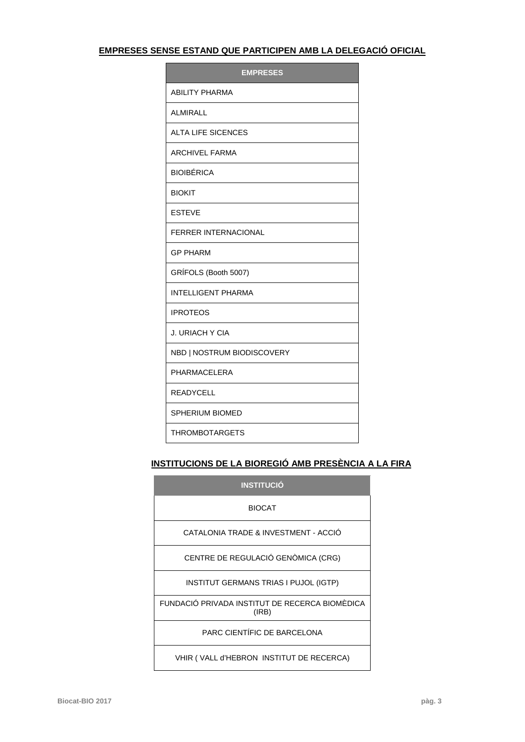# **EMPRESES SENSE ESTAND QUE PARTICIPEN AMB LA DELEGACIÓ OFICIAL**

| <b>EMPRESES</b>             |
|-----------------------------|
| <b>ABILITY PHARMA</b>       |
| ALMIRALL                    |
| <b>ALTA LIFE SICENCES</b>   |
| <b>ARCHIVEL FARMA</b>       |
| <b>BIOIBÉRICA</b>           |
| <b>BIOKIT</b>               |
| <b>ESTEVE</b>               |
| <b>FERRER INTERNACIONAL</b> |
| <b>GP PHARM</b>             |
| GRÍFOLS (Booth 5007)        |
| <b>INTELLIGENT PHARMA</b>   |
| <b>IPROTEOS</b>             |
| J. URIACH Y CIA             |
| NBD   NOSTRUM BIODISCOVERY  |
| PHARMACELERA                |
| READYCELL                   |
| <b>SPHERIUM BIOMED</b>      |
| <b>THROMBOTARGETS</b>       |

# **INSTITUCIONS DE LA BIOREGIÓ AMB PRESÈNCIA A LA FIRA**

| <b>INSTITUCIÓ</b>                                       |
|---------------------------------------------------------|
| <b>BIOCAT</b>                                           |
| CATALONIA TRADE & INVESTMENT - ACCIÓ                    |
| CENTRE DE REGULACIÓ GENÒMICA (CRG)                      |
| <b>INSTITUT GERMANS TRIAS I PUJOL (IGTP)</b>            |
| FUNDACIÓ PRIVADA INSTITUT DE RECERCA BIOMÉDICA<br>(IRB) |
| PARC CIENTÍFIC DE BARCELONA                             |
| VHIR (VALL d'HEBRON INSTITUT DE RECERCA)                |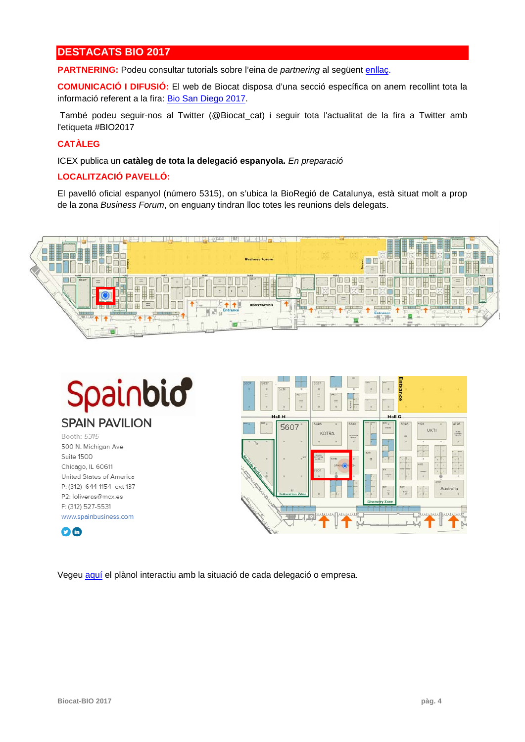# **DESTACATS BIO 2017**

**PARTNERING:** Podeu consultar tutorials sobre l'eina de *partnering* al següent [enllaç.](http://convention.bio.org/partneringresources/)

**COMUNICACIÓ I DIFUSIÓ:** El web de Biocat disposa d'una secció específica on anem recollint tota la informació referent a la fira: [Bio San Diego 2017.](http://www.biocat.cat/ca/que-fem/internacionalitzacio/fires/bio-international-convention/bio-san-diego-2017)

També podeu seguir-nos al Twitter (@Biocat\_cat) i seguir tota l'actualitat de la fira a Twitter amb l'etiqueta [#BIO2017](https://twitter.com/hashtag/BIO2015?src=hash)

# **CATÀLEG**

ICEX publica un **catàleg de tota la delegació espanyola.** *En preparació*

# **LOCALITZACIÓ PAVELLÓ:**

El pavelló oficial espanyol (número 5315), on s'ubica la BioRegió de Catalunya, està situat molt a prop de la zona *Business Forum*, on enguany tindran lloc totes les reunions dels delegats.







Vegeu [aquí](http://bio17.mapyourshow.com/7_0/exhview/) el plànol interactiu amb la situació de cada delegació o empresa.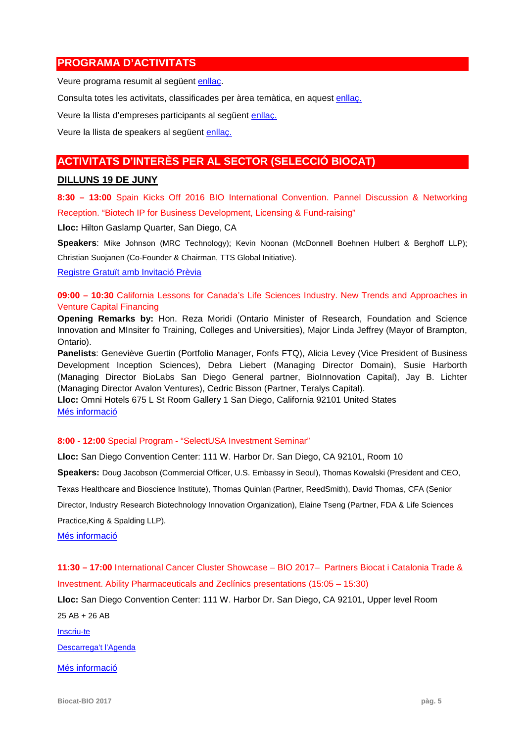# **PROGRAMA D'ACTIVITATS**

Veure programa resumit al següent [enllaç.](http://convention.bio.org/schedule/)

Consulta totes les activitats, classificades per àrea temàtica, en aquest [enllaç.](https://mybio.org/event/tracks_view?event_order=start&event_page=1&owner=other&owner_id=1137536&start=&_ga=1.187917409.898993006.1447861949)

Veure la llista d'empreses participants al següent [enllaç.](https://mybio.org/exhibitor/exhibitor?exhibitor_page=1)

Veure la llista de speakers al següent [enllaç.](https://mybio.org/speaker/6781055?owner=all&speaker_page=1)

# **ACTIVITATS D'INTERÈS PER AL SECTOR (SELECCIÓ BIOCAT)**

## **DILLUNS 19 DE JUNY**

**8:30 – 13:00** Spain Kicks Off 2016 BIO International Convention. Pannel Discussion & Networking Reception. "Biotech IP for Business Development, Licensing & Fund-raising"

**Lloc:** Hilton Gaslamp Quarter, San Diego, CA

**Speakers**: Mike Johnson (MRC Technology); Kevin Noonan (McDonnell Boehnen Hulbert & Berghoff LLP);

Christian Suojanen (Co-Founder & Chairman, TTS Global Initiative).

[Registre Gratuït amb Invitació](https://events.r20.constantcontact.com/register/eventReg?oeidk=a07ee624tns1fbfafca&oseq=&c=&ch=) Prèvia

**09:00 – 10:30** California Lessons for Canada's Life Sciences Industry. New Trends and Approaches in Venture Capital Financing

**Opening Remarks by:** Hon. Reza Moridi (Ontario Minister of Research, Foundation and Science Innovation and MInsiter fo Training, Colleges and Universities), Major Linda Jeffrey (Mayor of Brampton, Ontario).

**Panelists**: Geneviève Guertin (Portfolio Manager, Fonfs FTQ), Alicia Levey (Vice President of Business Development Inception Sciences), Debra Liebert (Managing Director Domain), Susie Harborth (Managing Director BioLabs San Diego General partner, BioInnovation Capital), Jay B. Lichter (Managing Director Avalon Ventures), Cedric Bisson (Partner, Teralys Capital).

**Lloc:** Omni Hotels 675 L St Room Gallery 1 San Diego, California 92101 United States [Més informació](https://www.eventbrite.ca/e/california-lessons-for-canadas-life-sciences-industry-tickets-34430249804)

## **8:00 - 12:00** Special Program - ["SelectUSA Investment Seminar"](https://mybio.org/event/member/373033?_ga=1.192916649.20844811.1486057355)

**Lloc:** San Diego Convention Center: 111 W. Harbor Dr. San Diego, CA 92101, Room 10

**Speakers:** Doug Jacobson (Commercial Officer, U.S. Embassy in Seoul), Thomas Kowalski (President and CEO,

Texas Healthcare and Bioscience Institute), Thomas Quinlan (Partner, ReedSmith), David Thomas, CFA (Senior

Director, Industry Research Biotechnology Innovation Organization), Elaine Tseng (Partner, FDA & Life Sciences Practice,King & Spalding LLP).

[Més informació](https://mybio.org/event/member/373033)

**11:30 – 17:00** International Cancer Cluster Showcase – BIO 2017– Partners Biocat i Catalonia Trade & Investment. Ability Pharmaceuticals and Zeclínics presentations (15:05 – 15:30)

**Lloc:** San Diego Convention Center: 111 W. Harbor Dr. San Diego, CA 92101, Upper level Room 25 AB + 26 AB

[Inscriu-te](https://events.r20.constantcontact.com/register/eventReg?oeidk=a07edonci5m123c2d5e&oseq=&c=&ch=)

[Descarrega't l'Agenda](http://www.biocat.cat/sites/default/files/iccs2017_agenda.pdf)

[Més informació](http://www.internationalcancercluster.org/)

**Biocat-BIO 2017 pàg. 5**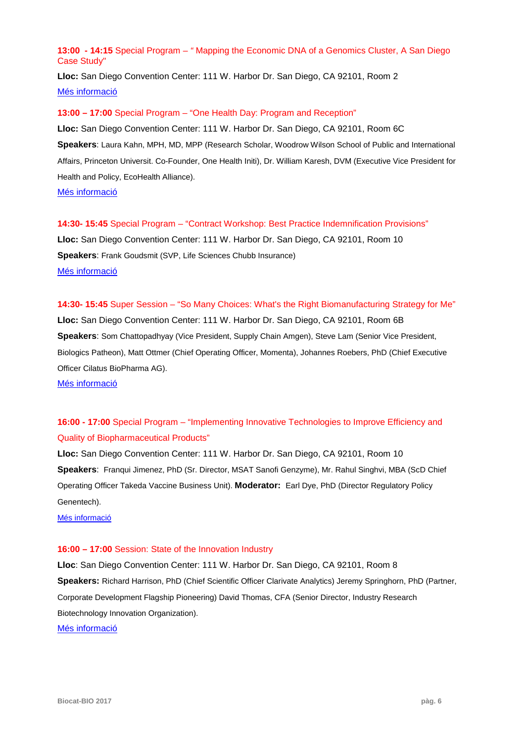# **13:00 - 14:15** Special Program – *"* Mapping the Economic DNA of a Genomics Cluster, A San Diego Case Study"

**Lloc:** San Diego Convention Center: 111 W. Harbor Dr. San Diego, CA 92101, Room 2 [Més informació](https://mybio.org/event/member/370504?_ga=2.149685942.1223732066.1493720747-20844811.1486057355)

## **13:00 – 17:00** Special Program – "One Health Day: Program and Reception"

**Lloc:** San Diego Convention Center: 111 W. Harbor Dr. San Diego, CA 92101, Room 6C **Speakers**: Laura Kahn, MPH, MD, MPP (Research Scholar, Woodrow Wilson School of Public and International Affairs, Princeton Universit. Co-Founder, One Health Initi), Dr. William Karesh, DVM (Executive Vice President for Health and Policy, EcoHealth Alliance).

[Més informació](https://mybio.org/event/member/370542?_ga=1.118384394.20844811.1486057355)

**14:30- 15:45** Special Program – "Contract Workshop: Best Practice Indemnification Provisions" **Lloc:** San Diego Convention Center: 111 W. Harbor Dr. San Diego, CA 92101, Room 10 **Speakers**: Frank Goudsmit (SVP, Life Sciences Chubb Insurance) [Més informació](https://mybio.org/event/member/360491?_ga=2.35153825.1629456794.1494247182-20844811.1486057355)

**14:30- 15:45** Super Session *–* "So Many Choices: What's the Right Biomanufacturing Strategy for Me" **Lloc:** San Diego Convention Center: 111 W. Harbor Dr. San Diego, CA 92101, Room 6B **Speakers**: Som Chattopadhyay (Vice President, Supply Chain Amgen), Steve Lam (Senior Vice President, Biologics Patheon), Matt Ottmer (Chief Operating Officer, Momenta), Johannes Roebers, PhD (Chief Executive Officer Cilatus BioPharma AG).

[Més informació](https://mybio.org/event/member/360556?_ga=1.231687196.20844811.1486057355)

# **16:00 - 17:00** Special Program – "Implementing Innovative Technologies to Improve Efficiency and Quality of Biopharmaceutical Products"

**Lloc:** San Diego Convention Center: 111 W. Harbor Dr. San Diego, CA 92101, Room 10 **Speakers**: Franqui Jimenez, PhD (Sr. Director, MSAT Sanofi Genzyme), Mr. Rahul Singhvi, MBA (ScD Chief Operating Officer Takeda Vaccine Business Unit). **Moderator:** Earl Dye, PhD (Director Regulatory Policy Genentech).

[Més informació](https://mybio.org/event/member/360503?_ga=1.127421326.20844811.1486057355)

## **16:00 – 17:00** Session: State of the Innovation Industry

**Lloc**: San Diego Convention Center: 111 W. Harbor Dr. San Diego, CA 92101, Room 8 **Speakers:** [Richard Harrison, PhD](https://mybio.org/profile/member/1477671) (Chief Scientific Officer [Clarivate Analytics\)](https://mybio.org/exhibitor/member/197784) Jeremy Springhorn, PhD (Partner, Corporate Development Flagship Pioneering) David Thomas, CFA (Senior Director, Industry Research Biotechnology Innovation Organization). [Més informació](https://mybio.org/event/member/360606?mkt_tok=eyJpIjoiWW1FME5UZzRZV0UxWWpVNCIsInQiOiJ6T1Q5cG5CRlwvZndMamR5S01TOVlINm94U0dGWlpsckJEenVyUFlCeTRhZkt3N2VGZUxqZ1orZXdVVHhsZkgrZ05mck95b05YakV1bk4xN2ZaRjhKblphUUQxUVwvY2ZOS09ua1plYTI2SDg4eThaZnp5dStvVU55Q280R0oyZHBnIn0%3D)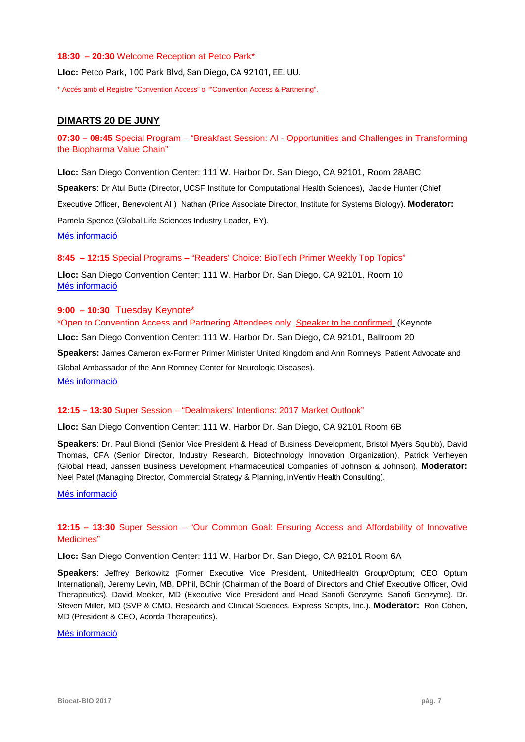#### **18:30 – 20:30** Welcome Reception at Petco Park\*

**Lloc:** Petco Park, 100 Park Blvd, San Diego, CA 92101, EE. UU.

\* Accés amb el Registre "Convention Access" o ""Convention Access & Partnering".

# **DIMARTS 20 DE JUNY**

**07:30 – 08:45** Special Program – "Breakfast Session: AI - Opportunities and Challenges in Transforming the Biopharma Value Chain"

**Lloc:** San Diego Convention Center: 111 W. Harbor Dr. San Diego, CA 92101, Room 28ABC

**Speakers**: Dr Atul Butte (Director, UCSF Institute for Computational Health Sciences), Jackie Hunter (Chief Executive Officer, Benevolent AI ) Nathan (Price Associate Director, Institute for Systems Biology). **Moderator:** Pamela Spence (Global Life Sciences Industry Leader, EY).

[Més informació](https://mybio.org/event/member/365612?_ga=2.123610059.1168681251.1493719218-20844811.1486057355)

# **8:45 – 12:15** Special Programs – "Readers' Choice: BioTech Primer Weekly Top Topics"

**Lloc:** San Diego Convention Center: 111 W. Harbor Dr. San Diego, CA 92101, Room 10 [Més informació](https://mybio.org/event/member/360561?_ga=2.188098408.1168681251.1493719218-20844811.1486057355)

# **9:00 – 10:30** Tuesday Keynote\*

\*Open to Convention Access and Partnering Attendees only. Speaker to be confirmed. (Keynote **Lloc:** San Diego Convention Center: 111 W. Harbor Dr. San Diego, CA 92101, Ballroom 20 **Speakers:** James Cameron ex-Former Primer Minister United Kingdom and Ann Romneys, Patient Advocate and Global Ambassador of the Ann Romney Center for Neurologic Diseases). [Més informació](http://convention.bio.org/keynote/?_ga=2.172792171.973941732.1495123640-1327026833.1490778896)

## **12:15 – 13:30** Super Session – ["Dealmakers' Intentions: 2017 Market Outlook"](https://mybio.org/event/member/370536)

**Lloc:** San Diego Convention Center: 111 W. Harbor Dr. San Diego, CA 92101 Room 6B

**Speakers**: Dr. Paul Biondi (Senior Vice President & Head of Business Development, Bristol Myers Squibb), David Thomas, CFA (Senior Director, Industry Research, Biotechnology Innovation Organization), Patrick Verheyen (Global Head, Janssen Business Development Pharmaceutical Companies of Johnson & Johnson). **Moderator:** Neel Patel (Managing Director, Commercial Strategy & Planning, inVentiv Health Consulting).

[Més informació](https://mybio.org/event/member/370536?_ga=2.141625650.1223732066.1493720747-20844811.1486057355)

# **12:15 – 13:30** Super Session – "Our Common Goal: Ensuring Access and Affordability of Innovative Medicines"

**Lloc:** San Diego Convention Center: 111 W. Harbor Dr. San Diego, CA 92101 Room 6A

**Speakers**: Jeffrey Berkowitz (Former Executive Vice President, UnitedHealth Group/Optum; CEO Optum International), Jeremy Levin, MB, DPhil, BChir (Chairman of the Board of Directors and Chief Executive Officer, Ovid Therapeutics), David Meeker, MD (Executive Vice President and Head Sanofi Genzyme, Sanofi Genzyme), Dr. Steven Miller, MD (SVP & CMO, Research and Clinical Sciences, Express Scripts, Inc.). **Moderator:** Ron Cohen, MD (President & CEO, Acorda Therapeutics).

[Més informació](https://mybio.org/event/member/361154?_ga=2.120196104.1223732066.1493720747-20844811.1486057355)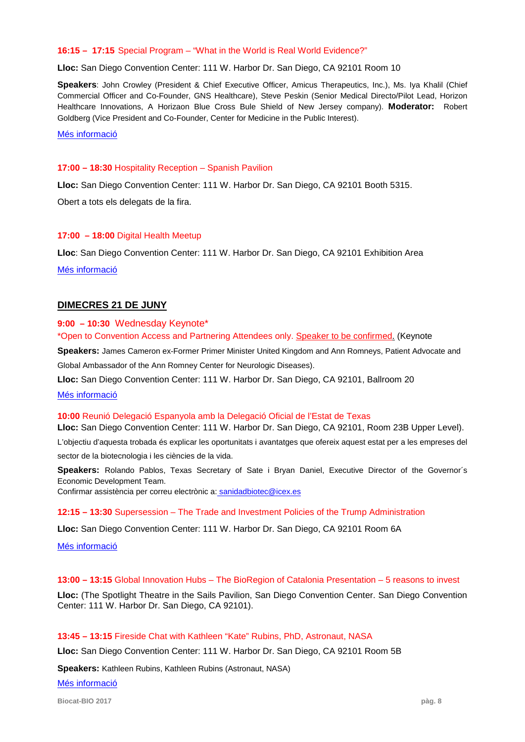#### **16:15 – 17:15** Special Program – ["What in the World is Real World Evidence?"](https://mybio.org/event/member/360559?_ga=2.221004760.1168681251.1493719218-20844811.1486057355)

**Lloc:** San Diego Convention Center: 111 W. Harbor Dr. San Diego, CA 92101 Room 10

**Speakers**: John Crowley (President & Chief Executive Officer, Amicus Therapeutics, Inc.), Ms. Iya Khalil (Chief Commercial Officer and Co-Founder, GNS Healthcare), Steve Peskin (Senior Medical Directo/Pilot Lead, Horizon Healthcare Innovations, A Horizaon Blue Cross Bule Shield of New Jersey company). **Moderator:** Robert Goldberg (Vice President and Co-Founder, Center for Medicine in the Public Interest).

[Més informació](https://mybio.org/event/member/360559?_ga=2.193473645.1168681251.1493719218-20844811.1486057355)

#### **17:00 – 18:30** Hospitality Reception – Spanish Pavilion

**Lloc:** San Diego Convention Center: 111 W. Harbor Dr. San Diego, CA 92101 Booth 5315.

Obert a tots els delegats de la fira.

#### **17:00 – 18:00** Digital Health Meetup

**Lloc**: San Diego Convention Center: 111 W. Harbor Dr. San Diego, CA 92101 Exhibition Area

[Més informació](https://www.meetup.com/es-ES/BIO-International-Convention-Meetup/events/238962440/?eventId=238962440)

## **DIMECRES 21 DE JUNY**

#### **9:00 – 10:30** Wednesday Keynote\*

\*Open to Convention Access and Partnering Attendees only. Speaker to be confirmed. (Keynote

**Speakers:** James Cameron ex-Former Primer Minister United Kingdom and Ann Romneys, Patient Advocate and Global Ambassador of the Ann Romney Center for Neurologic Diseases).

**Lloc:** San Diego Convention Center: 111 W. Harbor Dr. San Diego, CA 92101, Ballroom 20

#### [Més informació](http://convention.bio.org/keynote/?_ga=2.172792171.973941732.1495123640-1327026833.1490778896)

#### **10:00** Reunió Delegació Espanyola amb la Delegació Oficial de l'Estat de Texas

**Lloc:** San Diego Convention Center: 111 W. Harbor Dr. San Diego, CA 92101, Room 23B Upper Level).

L'objectiu d'aquesta trobada és explicar les oportunitats i avantatges que ofereix aquest estat per a les empreses del sector de la biotecnologia i les ciències de la vida.

**Speakers:** Rolando Pablos, Texas Secretary of Sate i Bryan Daniel, Executive Director of the Governor´s Economic Development Team.

Confirmar assistència per correu electrònic a: sanidadbiotec@icex.es

#### **12:15 – 13:30** Supersession – The Trade and Investment Policies of the Trump Administration

**Lloc:** San Diego Convention Center: 111 W. Harbor Dr. San Diego, CA 92101 [Room 6A](https://www.meetup.com/es-ES/BIO-International-Convention-Meetup/events/238958994/?eventId=238958994)

[Més informació](https://mybio.org/event/member/370543?_ga=2.216039062.149152874.1494324975-20844811.1486057355)

#### **13:00 – 13:15** Global Innovation Hubs – The BioRegion of Catalonia Presentation – 5 reasons to invest

**Lloc:** (The Spotlight Theatre in the Sails Pavilion, San Diego Convention Center. San Diego Convention Center: 111 W. Harbor Dr. San Diego, CA 92101).

#### **13:45 – 13:15** Fireside Chat with Kathleen "Kate" Rubins, PhD, Astronaut, NASA

**Lloc:** San Diego Convention Center: 111 W. Harbor Dr. San Diego, CA 92101 Room 5B

**Speakers:** Kathleen Rubins, Kathleen Rubins (Astronaut, NASA)

[Més informació](https://mybio.org/event/member/360558)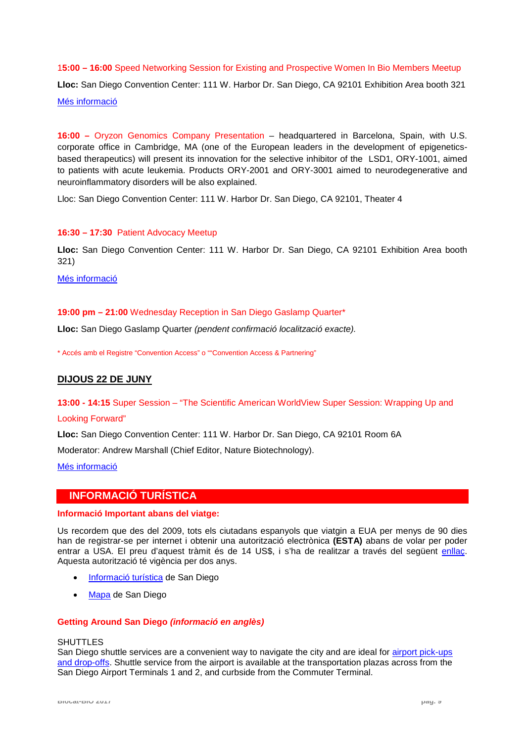1**5:00 – 16:00** Speed Networking Session for Existing and Prospective Women In Bio Members Meetup **Lloc:** San Diego Convention Center: 111 W. Harbor Dr. San Diego, CA 92101 Exhibition Area booth 321 [Més informació](https://www.meetup.com/es-ES/BIO-International-Convention-Meetup/events/238958994/?eventId=238958994)

**16:00 –** Oryzon Genomics Company Presentation – headquartered in Barcelona, Spain, with U.S. corporate office in Cambridge, MA (one of the European leaders in the development of epigeneticsbased therapeutics) will present its innovation for the selective inhibitor of the LSD1, ORY-1001, aimed to patients with acute leukemia. Products ORY-2001 and ORY-3001 aimed to neurodegenerative and neuroinflammatory disorders will be also explained.

Lloc: San Diego Convention Center: 111 W. Harbor Dr. San Diego, CA 92101, Theater 4

# **16:30 – 17:30** Patient Advocacy Meetup

**Lloc:** San Diego Convention Center: 111 W. Harbor Dr. San Diego, CA 92101 Exhibition Area booth 321)

[Més informació](https://www.meetup.com/es-ES/BIO-International-Convention-Meetup/events/238954063/?eventId=238954063)

# **19:00 pm – 21:00** Wednesday Reception in San Diego Gaslamp Quarter\*

**Lloc:** San Diego Gaslamp Quarter *(pendent confirmació localització exacte).*

\* Accés amb el Registre "Convention Access" o ""Convention Access & Partnering"

# **DIJOUS 22 DE JUNY**

**13:00 - 14:15** Super Session – ["The Scientific American WorldView Super Session: Wrapping Up and](https://mybio.org/event/member/367670?_ga=2.125837389.1168681251.1493719218-20844811.1486057355) 

## [Looking Forward"](https://mybio.org/event/member/367670?_ga=2.125837389.1168681251.1493719218-20844811.1486057355)

**Lloc:** San Diego Convention Center: 111 W. Harbor Dr. San Diego, CA 92101 Room 6A

Moderator: Andrew Marshall (Chief Editor, Nature Biotechnology).

[Més informació](https://mybio.org/event/member/367670?_ga=2.188745451.1168681251.1493719218-20844811.1486057355)

# **INFORMACIÓ TURÍSTICA**

## **Informació Important abans del viatge:**

Us recordem que des del 2009, tots els ciutadans espanyols que viatgin a EUA per menys de 90 dies han de registrar-se per internet i obtenir una autorització electrònica **(ESTA)** abans de volar per poder entrar a USA. El preu d'aquest tràmit és de 14 US\$, i s'ha de realitzar a través del següent enllac. Aquesta autorització té vigència per dos anys.

- [Informació turística](https://www.sandiego.org/) de San Diego
- [Mapa](http://www.gostreetmaps.com/san-diego.html) de San Diego

## **Getting Around San Diego** *(informació en anglès)*

#### **SHUTTLES**

San Diego shuttle services are a convenient way to navigate the city and are ideal for [airport pick-ups](http://www.san.org/parking-transportation/shuttles)  [and drop-offs.](http://www.san.org/parking-transportation/shuttles) Shuttle service from the airport is available at the transportation plazas across from the San Diego Airport Terminals 1 and 2, and curbside from the Commuter Terminal.